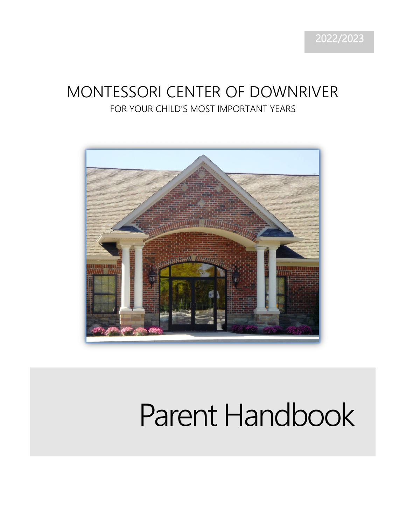# MONTESSORI CENTER OF DOWNRIVER FOR YOUR CHILD'S MOST IMPORTANT YEARS



# Parent Handbook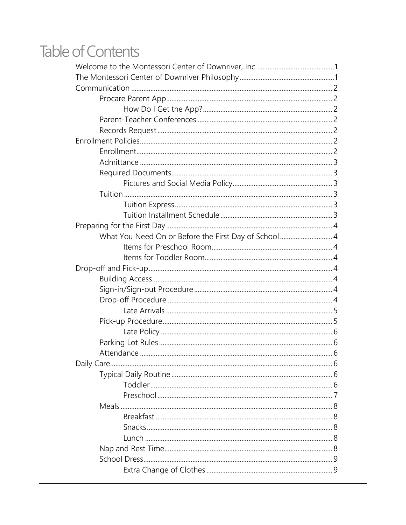# **Table of Contents**

| What You Need On or Before the First Day of School 4 |  |
|------------------------------------------------------|--|
|                                                      |  |
|                                                      |  |
|                                                      |  |
|                                                      |  |
|                                                      |  |
|                                                      |  |
|                                                      |  |
|                                                      |  |
|                                                      |  |
|                                                      |  |
|                                                      |  |
|                                                      |  |
|                                                      |  |
|                                                      |  |
|                                                      |  |
|                                                      |  |
|                                                      |  |
|                                                      |  |
|                                                      |  |
|                                                      |  |
|                                                      |  |
|                                                      |  |
|                                                      |  |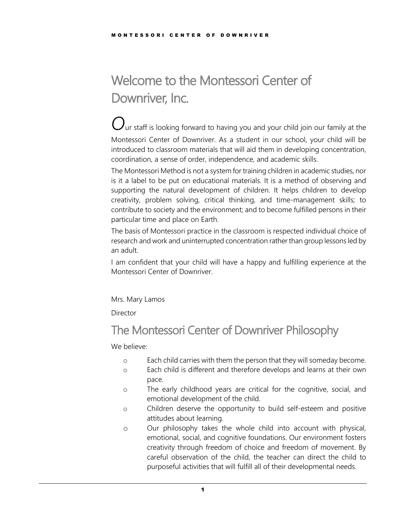# <span id="page-3-0"></span>Welcome to the Montessori Center of Downriver, Inc.

 $\bigcup_{\mathsf{u}\textsf{r}}$  staff is looking forward to having you and your child join our family at the Montessori Center of Downriver. As a student in our school, your child will be introduced to classroom materials that will aid them in developing concentration, coordination, a sense of order, independence, and academic skills.

The Montessori Method is not a system for training children in academic studies, nor is it a label to be put on educational materials. It is a method of observing and supporting the natural development of children. It helps children to develop creativity, problem solving, critical thinking, and time-management skills; to contribute to society and the environment; and to become fulfilled persons in their particular time and place on Earth.

The basis of Montessori practice in the classroom is respected individual choice of research and work and uninterrupted concentration rather than group lessons led by an adult.

I am confident that your child will have a happy and fulfilling experience at the Montessori Center of Downriver.

Mrs. Mary Lamos

Director

# <span id="page-3-1"></span>The Montessori Center of Downriver Philosophy

We believe:

- o Each child carries with them the person that they will someday become.
- o Each child is different and therefore develops and learns at their own pace.
- o The early childhood years are critical for the cognitive, social, and emotional development of the child.
- o Children deserve the opportunity to build self-esteem and positive attitudes about learning.
- o Our philosophy takes the whole child into account with physical, emotional, social, and cognitive foundations. Our environment fosters creativity through freedom of choice and freedom of movement. By careful observation of the child, the teacher can direct the child to purposeful activities that will fulfill all of their developmental needs.

1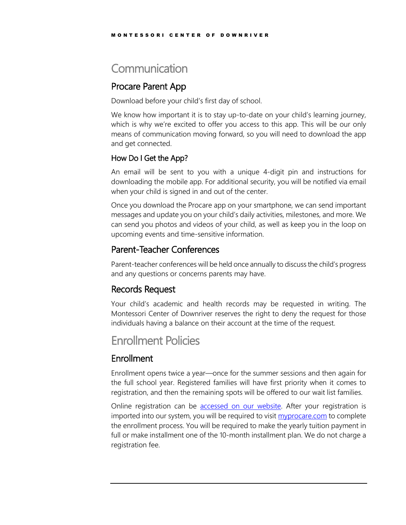# <span id="page-4-0"></span>**Communication**

# <span id="page-4-1"></span>Procare Parent App

Download before your child's first day of school.

We know how important it is to stay up-to-date on your child's learning journey, which is why we're excited to offer you access to this app. This will be our only means of communication moving forward, so you will need to download the app and get connected.

### <span id="page-4-2"></span>How Do I Get the App?

An email will be sent to you with a unique 4-digit pin and instructions for downloading the mobile app. For additional security, you will be notified via email when your child is signed in and out of the center.

Once you download the Procare app on your smartphone, we can send important messages and update you on your child's daily activities, milestones, and more. We can send you photos and videos of your child, as well as keep you in the loop on upcoming events and time-sensitive information.

# <span id="page-4-3"></span>Parent-Teacher Conferences

Parent-teacher conferences will be held once annually to discuss the child's progress and any questions or concerns parents may have.

# <span id="page-4-4"></span>Records Request

Your child's academic and health records may be requested in writing. The Montessori Center of Downriver reserves the right to deny the request for those individuals having a balance on their account at the time of the request.

# <span id="page-4-5"></span>Enrollment Policies

# <span id="page-4-6"></span>**Enrollment**

Enrollment opens twice a year—once for the summer sessions and then again for the full school year. Registered families will have first priority when it comes to registration, and then the remaining spots will be offered to our wait list families.

Online registration can be [accessed on our website.](http://montessoridownriver.com/the-enrollment-process/) After your registration is imported into our system, you will be required to visit [myprocare.com](https://myprocare.com/) to complete the enrollment process. You will be required to make the yearly tuition payment in full or make installment one of the 10-month installment plan. We do not charge a registration fee.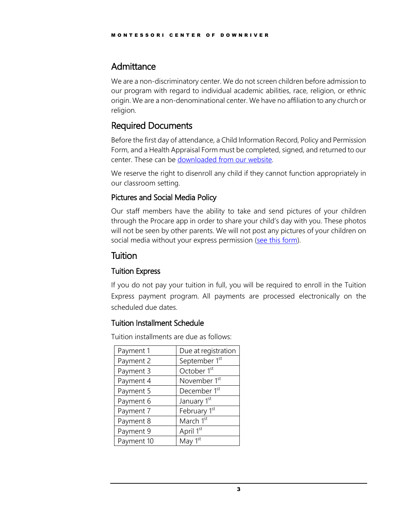# <span id="page-5-0"></span>Admittance

We are a non-discriminatory center. We do not screen children before admission to our program with regard to individual academic abilities, race, religion, or ethnic origin. We are a non-denominational center. We have no affiliation to any church or religion.

# <span id="page-5-1"></span>Required Documents

Before the first day of attendance, a Child Information Record, Policy and Permission Form, and a Health Appraisal Form must be completed, signed, and returned to our center. These can be [downloaded from our website.](http://montessoridownriver.com/for-parents/)

We reserve the right to disenroll any child if they cannot function appropriately in our classroom setting.

### <span id="page-5-2"></span>Pictures and Social Media Policy

Our staff members have the ability to take and send pictures of your children through the Procare app in order to share your child's day with you. These photos will not be seen by other parents. We will not post any pictures of your children on social media without your express permission [\(see this form\)](http://montessoridownriver.com/wp-content/uploads/2021/10/Policy-Ageement-and-Permission-Form.pdf).

# <span id="page-5-3"></span>**Tuition**

### <span id="page-5-4"></span>Tuition Express

If you do not pay your tuition in full, you will be required to enroll in the Tuition Express payment program. All payments are processed electronically on the scheduled due dates.

### <span id="page-5-5"></span>Tuition Installment Schedule

Tuition installments are due as follows:

| Payment 1  | Due at registration      |
|------------|--------------------------|
| Payment 2  | September 1st            |
| Payment 3  | October 1 <sup>st</sup>  |
| Payment 4  | November 1 <sup>st</sup> |
| Payment 5  | December 1 <sup>st</sup> |
| Payment 6  | January 1st              |
| Payment 7  | February 1st             |
| Payment 8  | March 1st                |
| Payment 9  | April 1st                |
| Payment 10 | May $1st$                |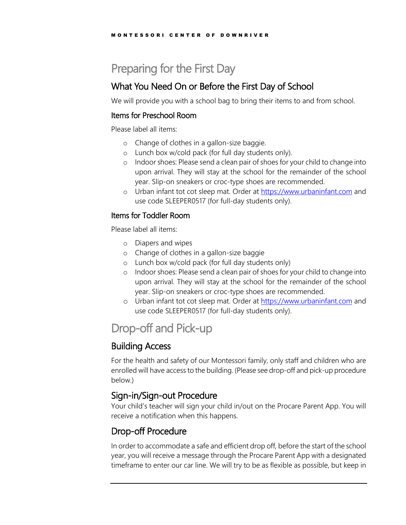# <span id="page-6-0"></span>Preparing for the First Day

# <span id="page-6-1"></span>What You Need On or Before the First Day of School

We will provide you with a school bag to bring their items to and from school.

#### <span id="page-6-2"></span>Items for Preschool Room

Please label all items:

- o Change of clothes in a gallon-size baggie.
- o Lunch box w/cold pack (for full day students only).
- o Indoor shoes: Please send a clean pair of shoes for your child to change into upon arrival. They will stay at the school for the remainder of the school year. Slip-on sneakers or croc-type shoes are recommended.
- o Urban infant tot cot sleep mat. Order at [https://www.urbaninfant.com](https://www.urbaninfant.com/) and use code SLEEPER0517 (for full-day students only).

#### <span id="page-6-3"></span>Items for Toddler Room

Please label all items:

- o Diapers and wipes
- o Change of clothes in a gallon-size baggie
- o Lunch box w/cold pack (for full day students only)
- o Indoor shoes: Please send a clean pair of shoes for your child to change into upon arrival. They will stay at the school for the remainder of the school year. Slip-on sneakers or croc-type shoes are recommended.
- o Urban infant tot cot sleep mat. Order at [https://www.urbaninfant.com](https://www.urbaninfant.com/) and use code SLEEPER0517 (for full-day students only).

# <span id="page-6-4"></span>Drop-off and Pick-up

# <span id="page-6-5"></span>Building Access

For the health and safety of our Montessori family, only staff and children who are enrolled will have access to the building. (Please see drop-off and pick-up procedure below.)

# <span id="page-6-6"></span>Sign-in/Sign-out Procedure

Your child's teacher will sign your child in/out on the Procare Parent App. You will receive a notification when this happens.

# <span id="page-6-7"></span>Drop-off Procedure

In order to accommodate a safe and efficient drop off, before the start of the school year, you will receive a message through the Procare Parent App with a designated timeframe to enter our car line. We will try to be as flexible as possible, but keep in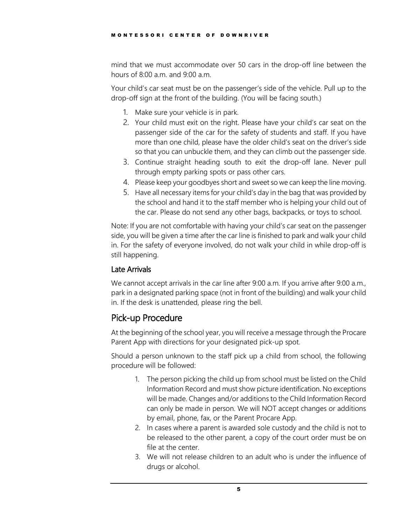mind that we must accommodate over 50 cars in the drop-off line between the hours of 8:00 a.m. and 9:00 a.m.

Your child's car seat must be on the passenger's side of the vehicle. Pull up to the drop-off sign at the front of the building. (You will be facing south.)

- 1. Make sure your vehicle is in park.
- 2. Your child must exit on the right. Please have your child's car seat on the passenger side of the car for the safety of students and staff. If you have more than one child, please have the older child's seat on the driver's side so that you can unbuckle them, and they can climb out the passenger side.
- 3. Continue straight heading south to exit the drop-off lane. Never pull through empty parking spots or pass other cars.
- 4. Please keep your goodbyes short and sweet so we can keep the line moving.
- 5. Have all necessary items for your child's day in the bag that was provided by the school and hand it to the staff member who is helping your child out of the car. Please do not send any other bags, backpacks, or toys to school.

Note: If you are not comfortable with having your child's car seat on the passenger side, you will be given a time after the car line is finished to park and walk your child in. For the safety of everyone involved, do not walk your child in while drop-off is still happening.

### <span id="page-7-0"></span>Late Arrivals

We cannot accept arrivals in the car line after 9:00 a.m. If you arrive after 9:00 a.m., park in a designated parking space (not in front of the building) and walk your child in. If the desk is unattended, please ring the bell.

# <span id="page-7-1"></span>Pick-up Procedure

At the beginning of the school year, you will receive a message through the Procare Parent App with directions for your designated pick-up spot.

Should a person unknown to the staff pick up a child from school, the following procedure will be followed:

- 1. The person picking the child up from school must be listed on the Child Information Record and must show picture identification. No exceptions will be made. Changes and/or additions to the Child Information Record can only be made in person. We will NOT accept changes or additions by email, phone, fax, or the Parent Procare App.
- 2. In cases where a parent is awarded sole custody and the child is not to be released to the other parent, a copy of the court order must be on file at the center.
- 3. We will not release children to an adult who is under the influence of drugs or alcohol.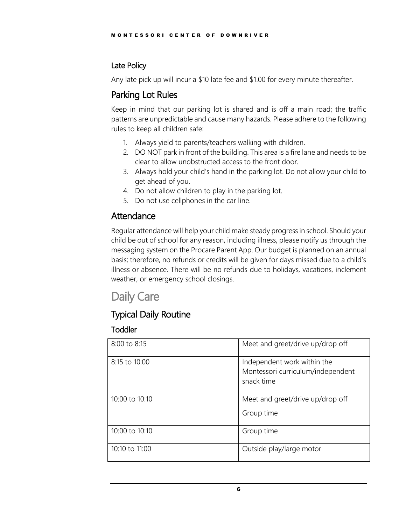# <span id="page-8-0"></span>Late Policy

Any late pick up will incur a \$10 late fee and \$1.00 for every minute thereafter.

# <span id="page-8-1"></span>Parking Lot Rules

Keep in mind that our parking lot is shared and is off a main road; the traffic patterns are unpredictable and cause many hazards. Please adhere to the following rules to keep all children safe:

- 1. Always yield to parents/teachers walking with children.
- 2. DO NOT park in front of the building. This area is a fire lane and needs to be clear to allow unobstructed access to the front door.
- 3. Always hold your child's hand in the parking lot. Do not allow your child to get ahead of you.
- 4. Do not allow children to play in the parking lot.
- 5. Do not use cellphones in the car line.

# <span id="page-8-2"></span>Attendance

Regular attendance will help your child make steady progress in school. Should your child be out of school for any reason, including illness, please notify us through the messaging system on the Procare Parent App. Our budget is planned on an annual basis; therefore, no refunds or credits will be given for days missed due to a child's illness or absence. There will be no refunds due to holidays, vacations, inclement weather, or emergency school closings.

# <span id="page-8-3"></span>Daily Care

# <span id="page-8-4"></span>Typical Daily Routine

# <span id="page-8-5"></span>Toddler

| 8:00 to 8:15   | Meet and greet/drive up/drop off                                               |
|----------------|--------------------------------------------------------------------------------|
| 8:15 to 10:00  | Independent work within the<br>Montessori curriculum/independent<br>snack time |
| 10:00 to 10:10 | Meet and greet/drive up/drop off<br>Group time                                 |
| 10:00 to 10:10 | Group time                                                                     |
| 10:10 to 11:00 | Outside play/large motor                                                       |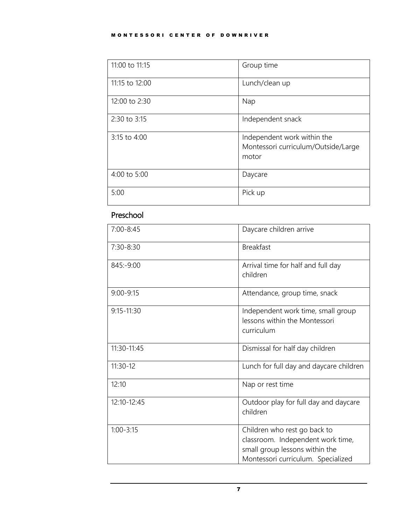#### MONTESSORI CENTER OF DOWNRIVER

| 11:00 to 11:15 | Group time                                                                  |
|----------------|-----------------------------------------------------------------------------|
| 11:15 to 12:00 | Lunch/clean up                                                              |
| 12:00 to 2:30  | Nap                                                                         |
| 2:30 to 3:15   | Independent snack                                                           |
| 3:15 to 4:00   | Independent work within the<br>Montessori curriculum/Outside/Large<br>motor |
| 4:00 to 5:00   | Daycare                                                                     |
| 5:00           | Pick up                                                                     |

# <span id="page-9-0"></span>Preschool

| 7:00-8:45      | Daycare children arrive                                                                                                                   |  |
|----------------|-------------------------------------------------------------------------------------------------------------------------------------------|--|
| $7:30 - 8:30$  | <b>Breakfast</b>                                                                                                                          |  |
| 845:-9:00      | Arrival time for half and full day<br>children                                                                                            |  |
| $9:00 - 9:15$  | Attendance, group time, snack                                                                                                             |  |
| $9:15 - 11:30$ | Independent work time, small group<br>lessons within the Montessori<br>curriculum                                                         |  |
| 11:30-11:45    | Dismissal for half day children                                                                                                           |  |
| $11:30-12$     | Lunch for full day and daycare children                                                                                                   |  |
| 12:10          | Nap or rest time                                                                                                                          |  |
| 12:10-12:45    | Outdoor play for full day and daycare<br>children                                                                                         |  |
| $1:00 - 3:15$  | Children who rest go back to<br>classroom. Independent work time,<br>small group lessons within the<br>Montessori curriculum. Specialized |  |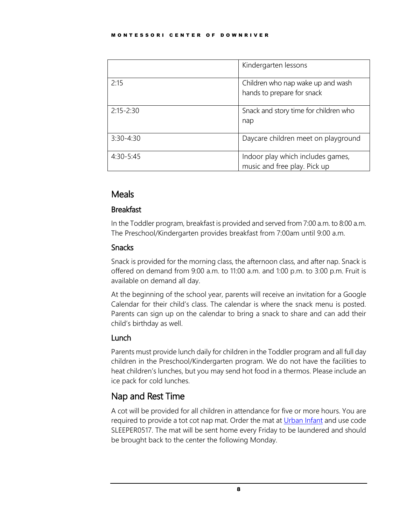|               | Kindergarten lessons                                              |
|---------------|-------------------------------------------------------------------|
| 2:15          | Children who nap wake up and wash<br>hands to prepare for snack   |
| $2:15 - 2:30$ | Snack and story time for children who<br>nap                      |
| $3:30 - 4:30$ | Daycare children meet on playground                               |
| $4:30-5:45$   | Indoor play which includes games,<br>music and free play. Pick up |

# <span id="page-10-0"></span>Meals

### <span id="page-10-1"></span>Breakfast

In the Toddler program, breakfast is provided and served from 7:00 a.m. to 8:00 a.m. The Preschool/Kindergarten provides breakfast from 7:00am until 9:00 a.m.

### <span id="page-10-2"></span>Snacks

Snack is provided for the morning class, the afternoon class, and after nap. Snack is offered on demand from 9:00 a.m. to 11:00 a.m. and 1:00 p.m. to 3:00 p.m. Fruit is available on demand all day.

At the beginning of the school year, parents will receive an invitation for a Google Calendar for their child's class. The calendar is where the snack menu is posted. Parents can sign up on the calendar to bring a snack to share and can add their child's birthday as well.

# <span id="page-10-3"></span>Lunch

Parents must provide lunch daily for children in the Toddler program and all full day children in the Preschool/Kindergarten program. We do not have the facilities to heat children's lunches, but you may send hot food in a thermos. Please include an ice pack for cold lunches.

# <span id="page-10-4"></span>Nap and Rest Time

A cot will be provided for all children in attendance for five or more hours. You are required to provide a tot cot nap mat. Order the mat at [Urban Infant](https://www.urbaninfant.com/) and use code SLEEPER0517. The mat will be sent home every Friday to be laundered and should be brought back to the center the following Monday.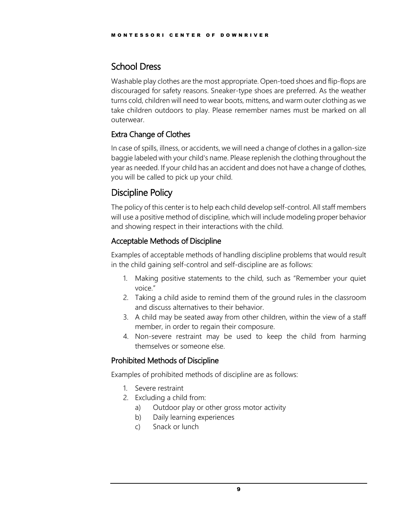# <span id="page-11-0"></span>School Dress

Washable play clothes are the most appropriate. Open-toed shoes and flip-flops are discouraged for safety reasons. Sneaker-type shoes are preferred. As the weather turns cold, children will need to wear boots, mittens, and warm outer clothing as we take children outdoors to play. Please remember names must be marked on all outerwear.

# <span id="page-11-1"></span>Extra Change of Clothes

In case of spills, illness, or accidents, we will need a change of clothes in a gallon-size baggie labeled with your child's name. Please replenish the clothing throughout the year as needed. If your child has an accident and does not have a change of clothes, you will be called to pick up your child.

# <span id="page-11-2"></span>Discipline Policy

The policy of this center is to help each child develop self-control. All staff members will use a positive method of discipline, which will include modeling proper behavior and showing respect in their interactions with the child.

# <span id="page-11-3"></span>Acceptable Methods of Discipline

Examples of acceptable methods of handling discipline problems that would result in the child gaining self-control and self-discipline are as follows:

- 1. Making positive statements to the child, such as "Remember your quiet voice."
- 2. Taking a child aside to remind them of the ground rules in the classroom and discuss alternatives to their behavior.
- 3. A child may be seated away from other children, within the view of a staff member, in order to regain their composure.
- 4. Non-severe restraint may be used to keep the child from harming themselves or someone else.

# <span id="page-11-4"></span>Prohibited Methods of Discipline

Examples of prohibited methods of discipline are as follows:

- 1. Severe restraint
- 2. Excluding a child from:
	- a) Outdoor play or other gross motor activity
	- b) Daily learning experiences
	- c) Snack or lunch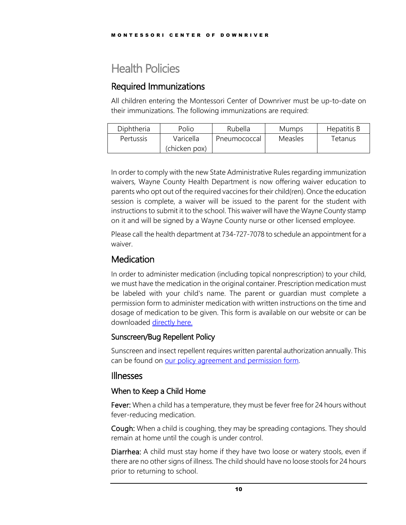# <span id="page-12-0"></span>Health Policies

# <span id="page-12-1"></span>Required Immunizations

All children entering the Montessori Center of Downriver must be up-to-date on their immunizations. The following immunizations are required:

| Diphtheria | Polio         | Rubella      | Mumps   | Hepatitis B |
|------------|---------------|--------------|---------|-------------|
| Pertussis  | Varicella     | Pneumococcal | Measles | Tetanus     |
|            | (chicken pox) |              |         |             |

In order to comply with the new State Administrative Rules regarding immunization waivers, Wayne County Health Department is now offering waiver education to parents who opt out of the required vaccines for their child(ren). Once the education session is complete, a waiver will be issued to the parent for the student with instructions to submit it to the school. This waiver will have the Wayne County stamp on it and will be signed by a Wayne County nurse or other licensed employee.

Please call the health department at 734-727-7078 to schedule an appointment for a waiver.

# <span id="page-12-2"></span>**Medication**

In order to administer medication (including topical nonprescription) to your child, we must have the medication in the original container. Prescription medication must be labeled with your child's name. The parent or guardian must complete a permission form to administer medication with written instructions on the time and dosage of medication to be given. This form is available on our website or can be downloaded [directly here.](https://www.michigan.gov/documents/lara/BCAL-1243_8_15_fillable_2_498629_7.pdf)

### <span id="page-12-3"></span>Sunscreen/Bug Repellent Policy

Sunscreen and insect repellent requires written parental authorization annually. This can be found on our policy agreement and permission form.

### <span id="page-12-4"></span>Illnesses

### <span id="page-12-5"></span>When to Keep a Child Home

Fever: When a child has a temperature, they must be fever free for 24 hours without fever-reducing medication.

Cough: When a child is coughing, they may be spreading contagions. They should remain at home until the cough is under control.

Diarrhea: A child must stay home if they have two loose or watery stools, even if there are no other signs of illness. The child should have no loose stools for 24 hours prior to returning to school.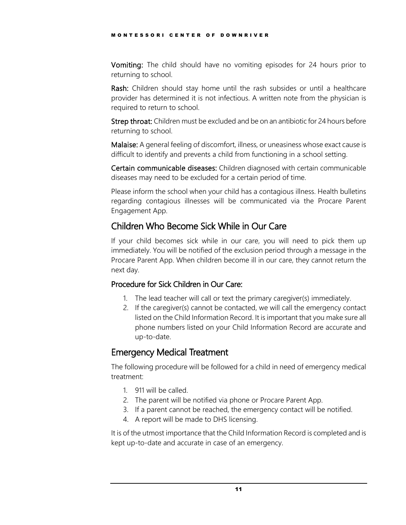Vomiting: The child should have no vomiting episodes for 24 hours prior to returning to school.

Rash: Children should stay home until the rash subsides or until a healthcare provider has determined it is not infectious. A written note from the physician is required to return to school.

Strep throat: Children must be excluded and be on an antibiotic for 24 hours before returning to school.

Malaise: A general feeling of discomfort, illness, or uneasiness whose exact cause is difficult to identify and prevents a child from functioning in a school setting.

Certain communicable diseases: Children diagnosed with certain communicable diseases may need to be excluded for a certain period of time.

Please inform the school when your child has a contagious illness. Health bulletins regarding contagious illnesses will be communicated via the Procare Parent Engagement App.

# <span id="page-13-0"></span>Children Who Become Sick While in Our Care

If your child becomes sick while in our care, you will need to pick them up immediately. You will be notified of the exclusion period through a message in the Procare Parent App. When children become ill in our care, they cannot return the next day.

# <span id="page-13-1"></span>Procedure for Sick Children in Our Care:

- 1. The lead teacher will call or text the primary caregiver(s) immediately.
- 2. If the caregiver(s) cannot be contacted, we will call the emergency contact listed on the Child Information Record. It is important that you make sure all phone numbers listed on your Child Information Record are accurate and up-to-date.

# <span id="page-13-2"></span>Emergency Medical Treatment

The following procedure will be followed for a child in need of emergency medical treatment:

- 1. 911 will be called.
- 2. The parent will be notified via phone or Procare Parent App.
- 3. If a parent cannot be reached, the emergency contact will be notified.
- 4. A report will be made to DHS licensing.

It is of the utmost importance that the Child Information Record is completed and is kept up-to-date and accurate in case of an emergency.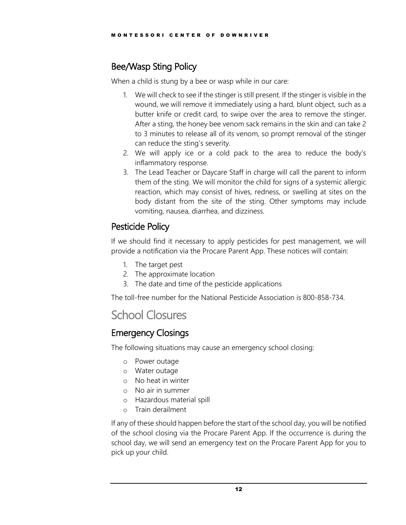# <span id="page-14-0"></span>Bee/Wasp Sting Policy

When a child is stung by a bee or wasp while in our care:

- 1. We will check to see if the stinger is still present. If the stinger is visible in the wound, we will remove it immediately using a hard, blunt object, such as a butter knife or credit card, to swipe over the area to remove the stinger. After a sting, the honey bee venom sack remains in the skin and can take 2 to 3 minutes to release all of its venom, so prompt removal of the stinger can reduce the sting's severity.
- 2. We will apply ice or a cold pack to the area to reduce the body's inflammatory response.
- 3. The Lead Teacher or Daycare Staff in charge will call the parent to inform them of the sting. We will monitor the child for signs of a systemic allergic reaction, which may consist of hives, redness, or swelling at sites on the body distant from the site of the sting. Other symptoms may include vomiting, nausea, diarrhea, and dizziness.

# <span id="page-14-1"></span>Pesticide Policy

If we should find it necessary to apply pesticides for pest management, we will provide a notification via the Procare Parent App. These notices will contain:

- 1. The target pest
- 2. The approximate location
- 3. The date and time of the pesticide applications

The toll-free number for the National Pesticide Association is 800-858-734.

# <span id="page-14-2"></span>School Closures

# <span id="page-14-3"></span>Emergency Closings

The following situations may cause an emergency school closing:

- o Power outage
- o Water outage
- o No heat in winter
- o No air in summer
- o Hazardous material spill
- o Train derailment

If any of these should happen before the start of the school day, you will be notified of the school closing via the Procare Parent App. If the occurrence is during the school day, we will send an emergency text on the Procare Parent App for you to pick up your child.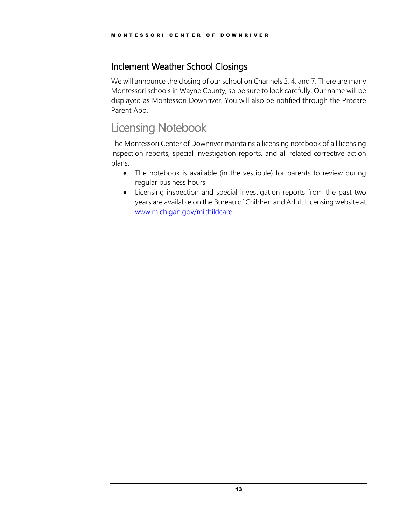# <span id="page-15-0"></span>Inclement Weather School Closings

We will announce the closing of our school on Channels 2, 4, and 7. There are many Montessori schools in Wayne County, so be sure to look carefully. Our name will be displayed as Montessori Downriver. You will also be notified through the Procare Parent App.

# <span id="page-15-1"></span>Licensing Notebook

The Montessori Center of Downriver maintains a licensing notebook of all licensing inspection reports, special investigation reports, and all related corrective action plans.

- The notebook is available (in the vestibule) for parents to review during regular business hours.
- Licensing inspection and special investigation reports from the past two years are available on the Bureau of Children and Adult Licensing website at [www.michigan.gov/michildcare.](http://www.michigan.gov/michildcare)